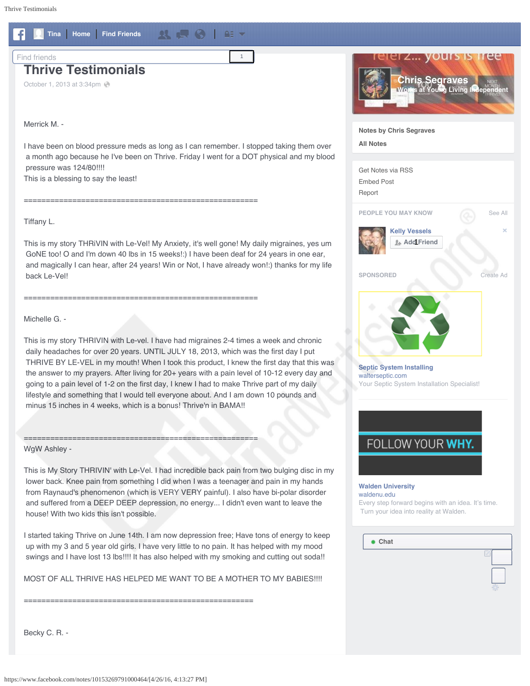<span id="page-0-0"></span>

I started taking Thrive on June 14th. I am now depression free; Have tons of energy to keep up with my 3 and 5 year old girls. I have very little to no pain. It has helped with my mood swings and I have lost 13 lbs!!!! It has also helped with my smoking and cutting out soda!!

MOST OF ALL THRIVE HAS HELPED ME WANT TO BE A MOTHER TO MY BABIES!!!!

====================================================



**[Notes by Chris Segraves](https://www.facebook.com/csegraves/notes)**

**[All Notes](https://www.facebook.com/notes/)**



waldenu edu. [Every step forward begins with an idea. It's time.](https://www.facebook.com/a.php?u=https%3A%2F%2Fbid.g.doubleclick.net%2Fxbbe%2Fcreative%2Fclick%3Fr1%3Dhttp%253A%252F%252Fwww.waldenu.edu%252Ffollowyourwhy%253Fcomm_code%253D4454201%2526utm_source%253DRTB%2526utm_medium%253DDisplay%2526utm_content%253DFBX_Amthem_Text_Copy2%2526utm_campaign%253DFYW%2526follow%253DFBX_Amthem_Text_Copy2%26cp%3DAPEucNWYbsIzMif89MmiqwstQA6T2wVtLdq3ebCMT5URQWpg6SCmA-Nju-wmlTbV2t1ADvISRdACDf8j_M2WTCFd5Oa5QR06qQ&__tn__=%2AB&xt=3.6277960358283258885.6032630213343.30.0.AQLW4E-sYvYV_47fKpa_UrZ7kpw4HqZc4woXnoilGUnkSbgXUWyzE4GBaMfRrSP6dHz3iY0BBmTiWPWBkQgy0lwjeD1pDTFEA2qgSZK_1HrqJe_ZmIN-dQ2zyH0LPTzWkqj0BKzzJCtCAZrjbYT-obvrbtzxhLRi0CHA_oD8na6yiiYZ0fixtAqyEqzspBamQJwTYqCFg5i4txERdBxbap75N-qiroPZ3TTstHZYUf3f5DMXo3Rm98-NJhqgsv6bisPtYuaFYatFtTuY2QtBXbgZMrQ2pJhtlLbvor9SZ3_vDQ&mac=AQIFLA2Vh8TfVZRp)  [Turn your idea into reality at Walden.](https://www.facebook.com/a.php?u=https%3A%2F%2Fbid.g.doubleclick.net%2Fxbbe%2Fcreative%2Fclick%3Fr1%3Dhttp%253A%252F%252Fwww.waldenu.edu%252Ffollowyourwhy%253Fcomm_code%253D4454201%2526utm_source%253DRTB%2526utm_medium%253DDisplay%2526utm_content%253DFBX_Amthem_Text_Copy2%2526utm_campaign%253DFYW%2526follow%253DFBX_Amthem_Text_Copy2%26cp%3DAPEucNWYbsIzMif89MmiqwstQA6T2wVtLdq3ebCMT5URQWpg6SCmA-Nju-wmlTbV2t1ADvISRdACDf8j_M2WTCFd5Oa5QR06qQ&__tn__=%2AB&xt=3.6277960358283258885.6032630213343.30.0.AQLW4E-sYvYV_47fKpa_UrZ7kpw4HqZc4woXnoilGUnkSbgXUWyzE4GBaMfRrSP6dHz3iY0BBmTiWPWBkQgy0lwjeD1pDTFEA2qgSZK_1HrqJe_ZmIN-dQ2zyH0LPTzWkqj0BKzzJCtCAZrjbYT-obvrbtzxhLRi0CHA_oD8na6yiiYZ0fixtAqyEqzspBamQJwTYqCFg5i4txERdBxbap75N-qiroPZ3TTstHZYUf3f5DMXo3Rm98-NJhqgsv6bisPtYuaFYatFtTuY2QtBXbgZMrQ2pJhtlLbvor9SZ3_vDQ&mac=AQIFLA2Vh8TfVZRp)

**Chat**

Becky C. R. -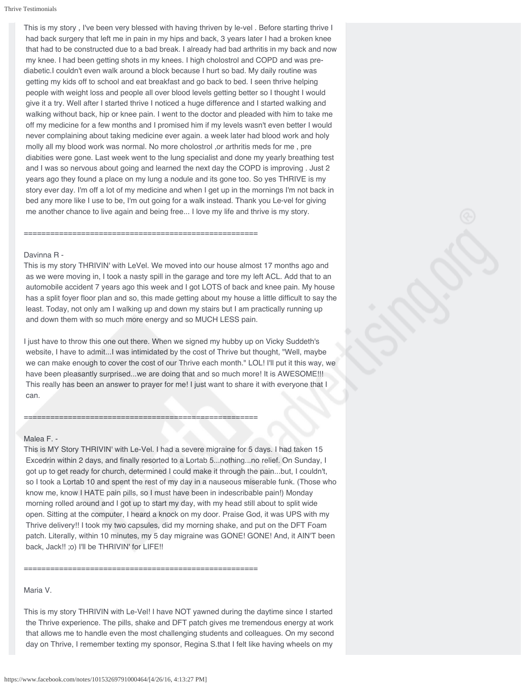This is my story , I've been very blessed with having thriven by le-vel . Before starting thrive I had back surgery that left me in pain in my hips and back, 3 years later I had a broken knee that had to be constructed due to a bad break. I already had bad arthritis in my back and now my knee. I had been getting shots in my knees. I high cholostrol and COPD and was prediabetic.I couldn't even walk around a block because I hurt so bad. My daily routine was getting my kids off to school and eat breakfast and go back to bed. I seen thrive helping people with weight loss and people all over blood levels getting better so I thought I would give it a try. Well after I started thrive I noticed a huge difference and I started walking and walking without back, hip or knee pain. I went to the doctor and pleaded with him to take me off my medicine for a few months and I promised him if my levels wasn't even better I would never complaining about taking medicine ever again. a week later had blood work and holy molly all my blood work was normal. No more cholostrol ,or arthritis meds for me , pre diabities were gone. Last week went to the lung specialist and done my yearly breathing test and I was so nervous about going and learned the next day the COPD is improving . Just 2 years ago they found a place on my lung a nodule and its gone too. So yes THRIVE is my story ever day. I'm off a lot of my medicine and when I get up in the mornings I'm not back in bed any more like I use to be, I'm out going for a walk instead. Thank you Le-vel for giving me another chance to live again and being free... I love my life and thrive is my story.

#### Davinna R -

This is my story THRIVIN' with LeVel. We moved into our house almost 17 months ago and as we were moving in, I took a nasty spill in the garage and tore my left ACL. Add that to an automobile accident 7 years ago this week and I got LOTS of back and knee pain. My house has a split foyer floor plan and so, this made getting about my house a little difficult to say the least. Today, not only am I walking up and down my stairs but I am practically running up and down them with so much more energy and so MUCH LESS pain.

=====================================================

I just have to throw this one out there. When we signed my hubby up on Vicky Suddeth's website, I have to admit...I was intimidated by the cost of Thrive but thought, "Well, maybe we can make enough to cover the cost of our Thrive each month." LOL! I'll put it this way, we have been pleasantly surprised...we are doing that and so much more! It is AWESOME!!! This really has been an answer to prayer for me! I just want to share it with everyone that I can.

## Malea F. -

This is MY Story THRIVIN' with Le-Vel. I had a severe migraine for 5 days. I had taken 15 Excedrin within 2 days, and finally resorted to a Lortab 5...nothing...no relief. On Sunday, I got up to get ready for church, determined I could make it through the pain...but, I couldn't, so I took a Lortab 10 and spent the rest of my day in a nauseous miserable funk. (Those who know me, know I HATE pain pills, so I must have been in indescribable pain!) Monday morning rolled around and I got up to start my day, with my head still about to split wide open. Sitting at the computer, I heard a knock on my door. Praise God, it was UPS with my Thrive delivery!! I took my two capsules, did my morning shake, and put on the DFT Foam patch. Literally, within 10 minutes, my 5 day migraine was GONE! GONE! And, it AIN'T been back, Jack!! ;o) I'll be THRIVIN' for LIFE!!

=====================================================

=====================================================

## Maria V.

This is my story THRIVIN with Le-Vel! I have NOT yawned during the daytime since I started the Thrive experience. The pills, shake and DFT patch gives me tremendous energy at work that allows me to handle even the most challenging students and colleagues. On my second day on Thrive, I remember texting my sponsor, Regina S.that I felt like having wheels on my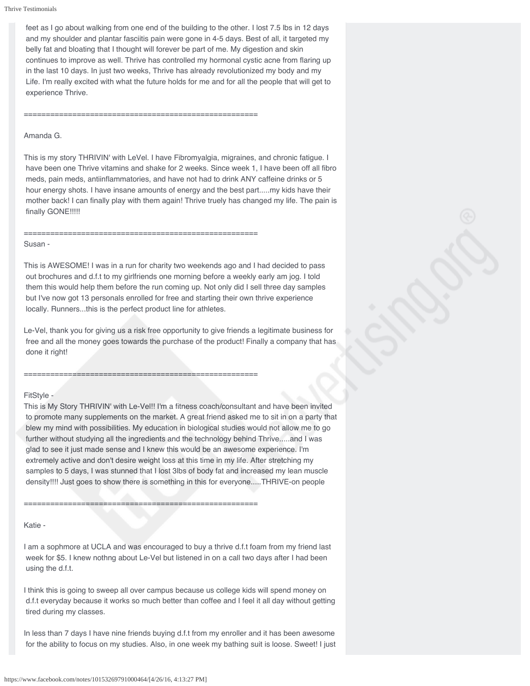feet as I go about walking from one end of the building to the other. I lost 7.5 lbs in 12 days and my shoulder and plantar fasciitis pain were gone in 4-5 days. Best of all, it targeted my belly fat and bloating that I thought will forever be part of me. My digestion and skin continues to improve as well. Thrive has controlled my hormonal cystic acne from flaring up in the last 10 days. In just two weeks, Thrive has already revolutionized my body and my Life. I'm really excited with what the future holds for me and for all the people that will get to experience Thrive.

Amanda G.

This is my story THRIVIN' with LeVel. I have Fibromyalgia, migraines, and chronic fatigue. I have been one Thrive vitamins and shake for 2 weeks. Since week 1, I have been off all fibro meds, pain meds, antiinflammatories, and have not had to drink ANY caffeine drinks or 5 hour energy shots. I have insane amounts of energy and the best part.....my kids have their mother back! I can finally play with them again! Thrive truely has changed my life. The pain is finally GONE!!!!!

=====================================================

=====================================================

## Susan -

This is AWESOME! I was in a run for charity two weekends ago and I had decided to pass out brochures and d.f.t to my girlfriends one morning before a weekly early am jog. I told them this would help them before the run coming up. Not only did I sell three day samples but I've now got 13 personals enrolled for free and starting their own thrive experience locally. Runners...this is the perfect product line for athletes.

Le-Vel, thank you for giving us a risk free opportunity to give friends a legitimate business for free and all the money goes towards the purchase of the product! Finally a company that has done it right!

=====================================================

## FitStyle -

This is My Story THRIVIN' with Le-Vel!! I'm a fitness coach/consultant and have been invited to promote many supplements on the market. A great friend asked me to sit in on a party that blew my mind with possibilities. My education in biological studies would not allow me to go further without studying all the ingredients and the technology behind Thrive.....and I was glad to see it just made sense and I knew this would be an awesome experience. I'm extremely active and don't desire weight loss at this time in my life. After stretching my samples to 5 days, I was stunned that I lost 3lbs of body fat and increased my lean muscle density!!!! Just goes to show there is something in this for everyone.....THRIVE-on people

=====================================================

Katie -

I am a sophmore at UCLA and was encouraged to buy a thrive d.f.t foam from my friend last week for \$5. I knew nothng about Le-Vel but listened in on a call two days after I had been using the d.f.t.

I think this is going to sweep all over campus because us college kids will spend money on d.f.t everyday because it works so much better than coffee and I feel it all day without getting tired during my classes.

In less than 7 days I have nine friends buying d.f.t from my enroller and it has been awesome for the ability to focus on my studies. Also, in one week my bathing suit is loose. Sweet! I just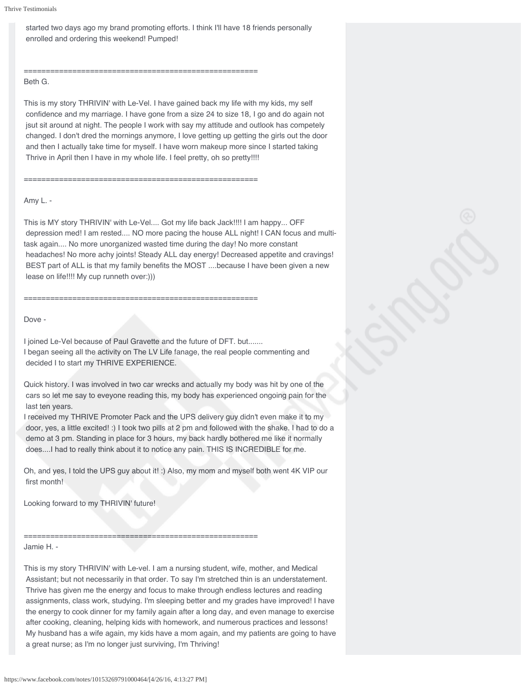started two days ago my brand promoting efforts. I think I'll have 18 friends personally enrolled and ordering this weekend! Pumped!

# =====================================================

=====================================================

## Beth G.

This is my story THRIVIN' with Le-Vel. I have gained back my life with my kids, my self confidence and my marriage. I have gone from a size 24 to size 18, I go and do again not jsut sit around at night. The people I work with say my attitude and outlook has competely changed. I don't dred the mornings anymore, I love getting up getting the girls out the door and then I actually take time for myself. I have worn makeup more since I started taking Thrive in April then I have in my whole life. I feel pretty, oh so pretty!!!!

## Amy L. -

This is MY story THRIVIN' with Le-Vel.... Got my life back Jack!!!! I am happy... OFF depression med! I am rested.... NO more pacing the house ALL night! I CAN focus and multitask again.... No more unorganized wasted time during the day! No more constant headaches! No more achy joints! Steady ALL day energy! Decreased appetite and cravings! BEST part of ALL is that my family benefits the MOST ....because I have been given a new lease on life!!!! My cup runneth over:)))

Dove -

I joined Le-Vel because of Paul Gravette and the future of DFT. but.......

=====================================================

I began seeing all the activity on The LV Life fanage, the real people commenting and decided I to start my THRIVE EXPERIENCE.

Quick history. I was involved in two car wrecks and actually my body was hit by one of the cars so let me say to eveyone reading this, my body has experienced ongoing pain for the last ten years.

I received my THRIVE Promoter Pack and the UPS delivery guy didn't even make it to my door, yes, a little excited! :) I took two pills at 2 pm and followed with the shake. I had to do a demo at 3 pm. Standing in place for 3 hours, my back hardly bothered me like it normally does....I had to really think about it to notice any pain. THIS IS INCREDIBLE for me.

Oh, and yes, I told the UPS guy about it! :) Also, my mom and myself both went 4K VIP our first month!

Looking forward to my THRIVIN' future!

===================================================== Jamie H. -

This is my story THRIVIN' with Le-vel. I am a nursing student, wife, mother, and Medical Assistant; but not necessarily in that order. To say I'm stretched thin is an understatement. Thrive has given me the energy and focus to make through endless lectures and reading assignments, class work, studying. I'm sleeping better and my grades have improved! I have the energy to cook dinner for my family again after a long day, and even manage to exercise after cooking, cleaning, helping kids with homework, and numerous practices and lessons! My husband has a wife again, my kids have a mom again, and my patients are going to have a great nurse; as I'm no longer just surviving, I'm Thriving!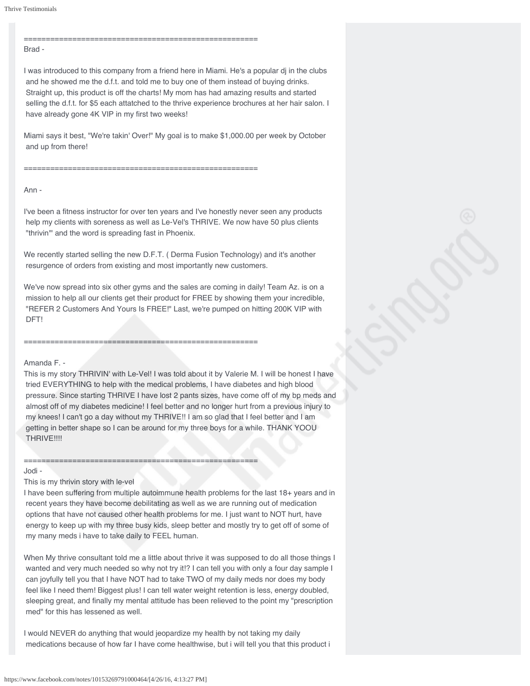=====================================================

#### Brad -

I was introduced to this company from a friend here in Miami. He's a popular dj in the clubs and he showed me the d.f.t. and told me to buy one of them instead of buying drinks. Straight up, this product is off the charts! My mom has had amazing results and started selling the d.f.t. for \$5 each attatched to the thrive experience brochures at her hair salon. I have already gone 4K VIP in my first two weeks!

Miami says it best, "We're takin' Over!" My goal is to make \$1,000.00 per week by October and up from there!

=====================================================

### Ann -

I've been a fitness instructor for over ten years and I've honestly never seen any products help my clients with soreness as well as Le-Vel's THRIVE. We now have 50 plus clients "thrivin'" and the word is spreading fast in Phoenix.

We recently started selling the new D.F.T. ( Derma Fusion Technology) and it's another resurgence of orders from existing and most importantly new customers.

We've now spread into six other gyms and the sales are coming in daily! Team Az. is on a mission to help all our clients get their product for FREE by showing them your incredible, "REFER 2 Customers And Yours Is FREE!" Last, we're pumped on hitting 200K VIP with DFT!

=====================================================

=====================================================

### Amanda F. -

This is my story THRIVIN' with Le-Vel! I was told about it by Valerie M. I will be honest I have tried EVERYTHING to help with the medical problems, I have diabetes and high blood pressure. Since starting THRIVE I have lost 2 pants sizes, have come off of my bp meds and almost off of my diabetes medicine! I feel better and no longer hurt from a previous injury to my knees! I can't go a day without my THRIVE!! I am so glad that I feel better and I am getting in better shape so I can be around for my three boys for a while. THANK YOOU THRIVE!!!!

#### Jodi -

This is my thrivin story with le-vel

I have been suffering from multiple autoimmune health problems for the last 18+ years and in recent years they have become debilitating as well as we are running out of medication options that have not caused other health problems for me. I just want to NOT hurt, have energy to keep up with my three busy kids, sleep better and mostly try to get off of some of my many meds i have to take daily to FEEL human.

When My thrive consultant told me a little about thrive it was supposed to do all those things I wanted and very much needed so why not try it!? I can tell you with only a four day sample I can joyfully tell you that I have NOT had to take TWO of my daily meds nor does my body feel like I need them! Biggest plus! I can tell water weight retention is less, energy doubled, sleeping great, and finally my mental attitude has been relieved to the point my "prescription med" for this has lessened as well.

I would NEVER do anything that would jeopardize my health by not taking my daily medications because of how far I have come healthwise, but i will tell you that this product i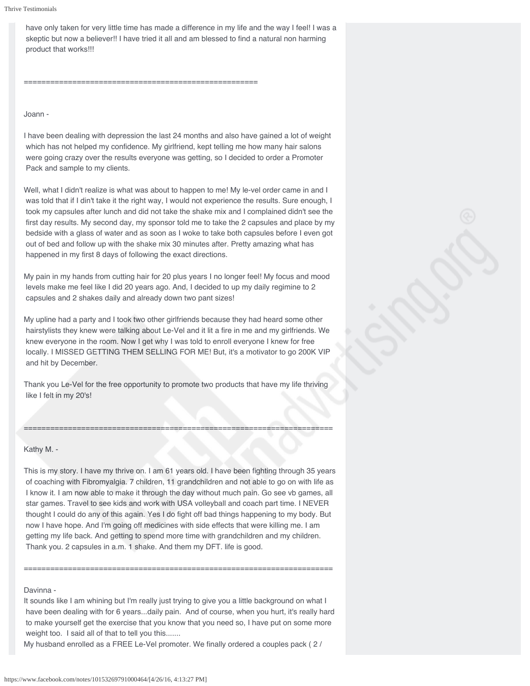have only taken for very little time has made a difference in my life and the way I feel! I was a skeptic but now a believer!! I have tried it all and am blessed to find a natural non harming product that works!!!

=====================================================

### Joann -

I have been dealing with depression the last 24 months and also have gained a lot of weight which has not helped my confidence. My girlfriend, kept telling me how many hair salons were going crazy over the results everyone was getting, so I decided to order a Promoter Pack and sample to my clients.

Well, what I didn't realize is what was about to happen to me! My le-vel order came in and I was told that if I din't take it the right way, I would not experience the results. Sure enough, I took my capsules after lunch and did not take the shake mix and I complained didn't see the first day results. My second day, my sponsor told me to take the 2 capsules and place by my bedside with a glass of water and as soon as I woke to take both capsules before I even got out of bed and follow up with the shake mix 30 minutes after. Pretty amazing what has happened in my first 8 days of following the exact directions.

My pain in my hands from cutting hair for 20 plus years I no longer feel! My focus and mood levels make me feel like I did 20 years ago. And, I decided to up my daily regimine to 2 capsules and 2 shakes daily and already down two pant sizes!

My upline had a party and I took two other girlfriends because they had heard some other hairstylists they knew were talking about Le-Vel and it lit a fire in me and my girlfriends. We knew everyone in the room. Now I get why I was told to enroll everyone I knew for free locally. I MISSED GETTING THEM SELLING FOR ME! But, it's a motivator to go 200K VIP and hit by December.

Thank you Le-Vel for the free opportunity to promote two products that have my life thriving like I felt in my 20's!

======================================================================

## Kathy M. -

This is my story. I have my thrive on. I am 61 years old. I have been fighting through 35 years of coaching with Fibromyalgia. 7 children, 11 grandchildren and not able to go on with life as I know it. I am now able to make it through the day without much pain. Go see vb games, all star games. Travel to see kids and work with USA volleyball and coach part time. I NEVER thought I could do any of this again. Yes I do fight off bad things happening to my body. But now I have hope. And I'm going off medicines with side effects that were killing me. I am getting my life back. And getting to spend more time with grandchildren and my children. Thank you. 2 capsules in a.m. 1 shake. And them my DFT. life is good.

#### Davinna -

It sounds like I am whining but I'm really just trying to give you a little background on what I have been dealing with for 6 years...daily pain. And of course, when you hurt, it's really hard to make yourself get the exercise that you know that you need so, I have put on some more weight too. I said all of that to tell you this.......

======================================================================

My husband enrolled as a FREE Le-Vel promoter. We finally ordered a couples pack ( 2 /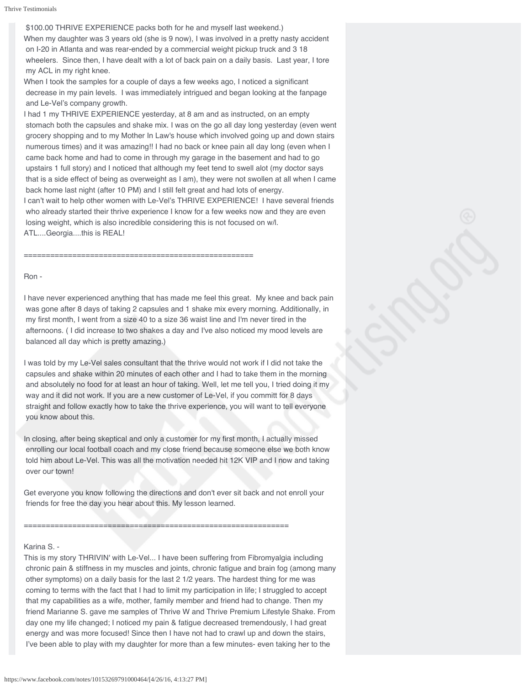\$100.00 THRIVE EXPERIENCE packs both for he and myself last weekend.) When my daughter was 3 years old (she is 9 now), I was involved in a pretty nasty accident on I-20 in Atlanta and was rear-ended by a commercial weight pickup truck and 3 18 wheelers. Since then, I have dealt with a lot of back pain on a daily basis. Last year, I tore my ACL in my right knee.

When I took the samples for a couple of days a few weeks ago, I noticed a significant decrease in my pain levels. I was immediately intrigued and began looking at the fanpage and Le-Vel's company growth.

I had 1 my THRIVE EXPERIENCE yesterday, at 8 am and as instructed, on an empty stomach both the capsules and shake mix. I was on the go all day long yesterday (even went grocery shopping and to my Mother In Law's house which involved going up and down stairs numerous times) and it was amazing!! I had no back or knee pain all day long (even when I came back home and had to come in through my garage in the basement and had to go upstairs 1 full story) and I noticed that although my feet tend to swell alot (my doctor says that is a side effect of being as overweight as I am), they were not swollen at all when I came back home last night (after 10 PM) and I still felt great and had lots of energy.

I can't wait to help other women with Le-Vel's THRIVE EXPERIENCE! I have several friends who already started their thrive experience I know for a few weeks now and they are even losing weight, which is also incredible considering this is not focused on w/l. ATL....Georgia....this is REAL!

====================================================

#### Ron -

I have never experienced anything that has made me feel this great. My knee and back pain was gone after 8 days of taking 2 capsules and 1 shake mix every morning. Additionally, in my first month, I went from a size 40 to a size 36 waist line and I'm never tired in the afternoons. ( I did increase to two shakes a day and I've also noticed my mood levels are balanced all day which is pretty amazing.)

I was told by my Le-Vel sales consultant that the thrive would not work if I did not take the capsules and shake within 20 minutes of each other and I had to take them in the morning and absolutely no food for at least an hour of taking. Well, let me tell you, I tried doing it my way and it did not work. If you are a new customer of Le-Vel, if you committ for 8 days straight and follow exactly how to take the thrive experience, you will want to tell everyone you know about this.

In closing, after being skeptical and only a customer for my first month, I actually missed enrolling our local football coach and my close friend because someone else we both know told him about Le-Vel. This was all the motivation needed hit 12K VIP and I now and taking over our town!

Get everyone you know following the directions and don't ever sit back and not enroll your friends for free the day you hear about this. My lesson learned.

============================================================

### Karina S. -

This is my story THRIVIN' with Le-Vel... I have been suffering from Fibromyalgia including chronic pain & stiffness in my muscles and joints, chronic fatigue and brain fog (among many other symptoms) on a daily basis for the last 2 1/2 years. The hardest thing for me was coming to terms with the fact that I had to limit my participation in life; I struggled to accept that my capabilities as a wife, mother, family member and friend had to change. Then my friend Marianne S. gave me samples of Thrive W and Thrive Premium Lifestyle Shake. From day one my life changed; I noticed my pain & fatigue decreased tremendously, I had great energy and was more focused! Since then I have not had to crawl up and down the stairs, I've been able to play with my daughter for more than a few minutes- even taking her to the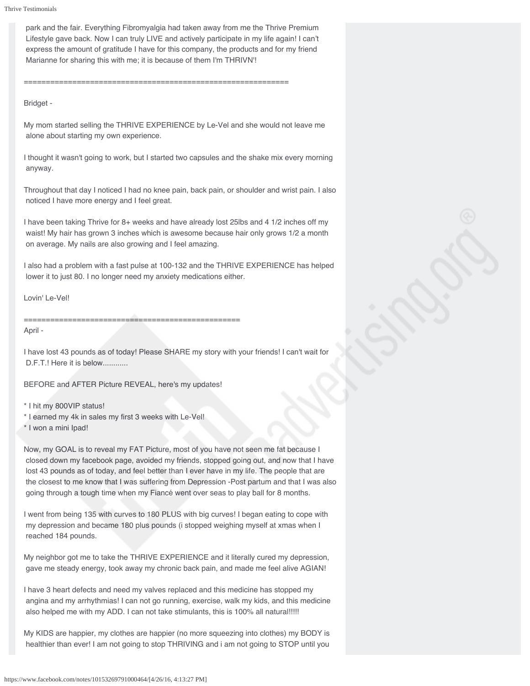park and the fair. Everything Fibromyalgia had taken away from me the Thrive Premium Lifestyle gave back. Now I can truly LIVE and actively participate in my life again! I can't express the amount of gratitude I have for this company, the products and for my friend Marianne for sharing this with me; it is because of them I'm THRIVN'!

============================================================

Bridget -

My mom started selling the THRIVE EXPERIENCE by Le-Vel and she would not leave me alone about starting my own experience.

I thought it wasn't going to work, but I started two capsules and the shake mix every morning anyway.

Throughout that day I noticed I had no knee pain, back pain, or shoulder and wrist pain. I also noticed I have more energy and I feel great.

I have been taking Thrive for 8+ weeks and have already lost 25lbs and 4 1/2 inches off my waist! My hair has grown 3 inches which is awesome because hair only grows 1/2 a month on average. My nails are also growing and I feel amazing.

I also had a problem with a fast pulse at 100-132 and the THRIVE EXPERIENCE has helped lower it to just 80. I no longer need my anxiety medications either.

Lovin' Le-Vel!

=================================================

April -

I have lost 43 pounds as of today! Please SHARE my story with your friends! I can't wait for D.F.T.! Here it is below.............

BEFORE and AFTER Picture REVEAL, here's my updates!

\* I hit my 800VIP status!

- \* I earned my 4k in sales my first 3 weeks with Le-Vel!
- \* I won a mini Ipad!

Now, my GOAL is to reveal my FAT Picture, most of you have not seen me fat because I closed down my facebook page, avoided my friends, stopped going out, and now that I have lost 43 pounds as of today, and feel better than I ever have in my life. The people that are the closest to me know that I was suffering from Depression -Post partum and that I was also going through a tough time when my Fiancé went over seas to play ball for 8 months.

I went from being 135 with curves to 180 PLUS with big curves! I began eating to cope with my depression and became 180 plus pounds (i stopped weighing myself at xmas when I reached 184 pounds.

My neighbor got me to take the THRIVE EXPERIENCE and it literally cured my depression, gave me steady energy, took away my chronic back pain, and made me feel alive AGIAN!

I have 3 heart defects and need my valves replaced and this medicine has stopped my angina and my arrhythmias! I can not go running, exercise, walk my kids, and this medicine also helped me with my ADD. I can not take stimulants, this is 100% all natural!!!!!

My KIDS are happier, my clothes are happier (no more squeezing into clothes) my BODY is healthier than ever! I am not going to stop THRIVING and i am not going to STOP until you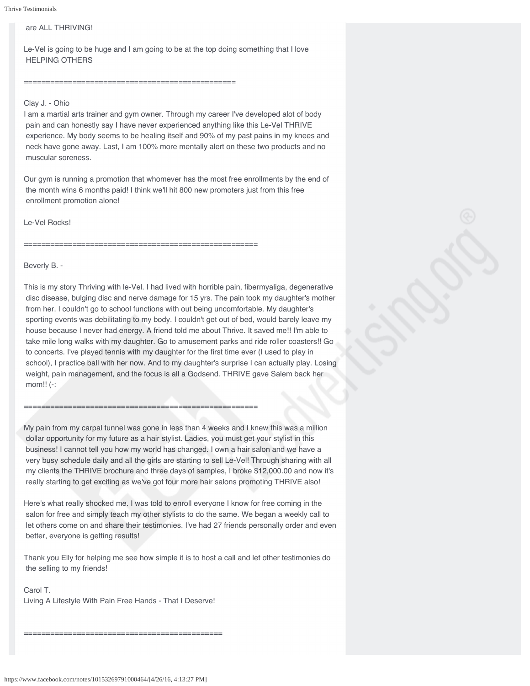# are ALL THRIVING!

Le-Vel is going to be huge and I am going to be at the top doing something that I love HELPING OTHERS

#### ================================================

=====================================================

=====================================================

## Clay J. - Ohio

I am a martial arts trainer and gym owner. Through my career I've developed alot of body pain and can honestly say I have never experienced anything like this Le-Vel THRIVE experience. My body seems to be healing itself and 90% of my past pains in my knees and neck have gone away. Last, I am 100% more mentally alert on these two products and no muscular soreness.

Our gym is running a promotion that whomever has the most free enrollments by the end of the month wins 6 months paid! I think we'll hit 800 new promoters just from this free enrollment promotion alone!

## Le-Vel Rocks!

Beverly B. -

This is my story Thriving with le-Vel. I had lived with horrible pain, fibermyaliga, degenerative disc disease, bulging disc and nerve damage for 15 yrs. The pain took my daughter's mother from her. I couldn't go to school functions with out being uncomfortable. My daughter's sporting events was debilitating to my body. I couldn't get out of bed, would barely leave my house because I never had energy. A friend told me about Thrive. It saved me!! I'm able to take mile long walks with my daughter. Go to amusement parks and ride roller coasters!! Go to concerts. I've played tennis with my daughter for the first time ever (I used to play in school), I practice ball with her now. And to my daughter's surprise I can actually play. Losing weight, pain management, and the focus is all a Godsend. THRIVE gave Salem back her mom!! (-:

My pain from my carpal tunnel was gone in less than 4 weeks and I knew this was a million dollar opportunity for my future as a hair stylist. Ladies, you must get your stylist in this business! I cannot tell you how my world has changed. I own a hair salon and we have a very busy schedule daily and all the girls are starting to sell Le-Vel! Through sharing with all my clients the THRIVE brochure and three days of samples, I broke \$12,000.00 and now it's really starting to get exciting as we've got four more hair salons promoting THRIVE also!

Here's what really shocked me. I was told to enroll everyone I know for free coming in the salon for free and simply teach my other stylists to do the same. We began a weekly call to let others come on and share their testimonies. I've had 27 friends personally order and even better, everyone is getting results!

Thank you Elly for helping me see how simple it is to host a call and let other testimonies do the selling to my friends!

Carol T. Living A Lifestyle With Pain Free Hands - That I Deserve!

=============================================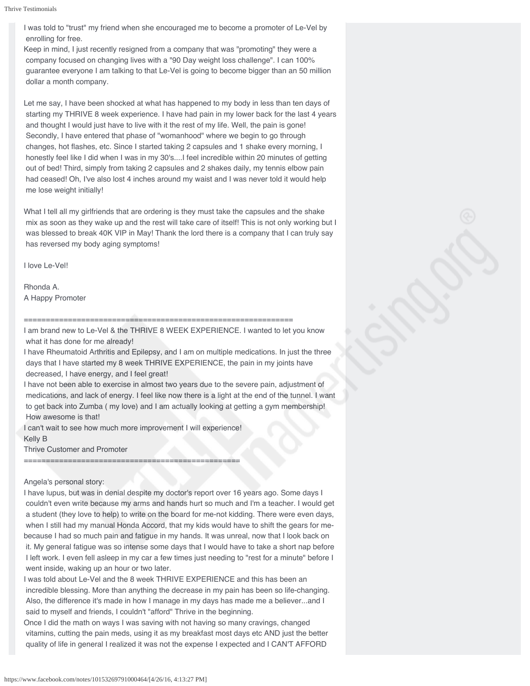I was told to "trust" my friend when she encouraged me to become a promoter of Le-Vel by enrolling for free.

Keep in mind, I just recently resigned from a company that was "promoting" they were a company focused on changing lives with a "90 Day weight loss challenge". I can 100% guarantee everyone I am talking to that Le-Vel is going to become bigger than an 50 million dollar a month company.

Let me say, I have been shocked at what has happened to my body in less than ten days of starting my THRIVE 8 week experience. I have had pain in my lower back for the last 4 years and thought I would just have to live with it the rest of my life. Well, the pain is gone! Secondly, I have entered that phase of "womanhood" where we begin to go through changes, hot flashes, etc. Since I started taking 2 capsules and 1 shake every morning, I honestly feel like I did when I was in my 30's....I feel incredible within 20 minutes of getting out of bed! Third, simply from taking 2 capsules and 2 shakes daily, my tennis elbow pain had ceased! Oh, I've also lost 4 inches around my waist and I was never told it would help me lose weight initially!

What I tell all my girlfriends that are ordering is they must take the capsules and the shake mix as soon as they wake up and the rest will take care of itself! This is not only working but I was blessed to break 40K VIP in May! Thank the lord there is a company that I can truly say has reversed my body aging symptoms!

I love Le-Vel!

Rhonda A. A Happy Promoter

### =============================================================

I am brand new to Le-Vel & the THRIVE 8 WEEK EXPERIENCE. I wanted to let you know what it has done for me already!

I have Rheumatoid Arthritis and Epilepsy, and I am on multiple medications. In just the three days that I have started my 8 week THRIVE EXPERIENCE, the pain in my joints have decreased, I have energy, and I feel great!

I have not been able to exercise in almost two years due to the severe pain, adjustment of medications, and lack of energy. I feel like now there is a light at the end of the tunnel. I want to get back into Zumba ( my love) and I am actually looking at getting a gym membership! How awesome is that!

I can't wait to see how much more improvement I will experience! Kelly B

Thrive Customer and Promoter

=================================================

## Angela's personal story:

I have lupus, but was in denial despite my doctor's report over 16 years ago. Some days I couldn't even write because my arms and hands hurt so much and I'm a teacher. I would get a student (they love to help) to write on the board for me-not kidding. There were even days, when I still had my manual Honda Accord, that my kids would have to shift the gears for mebecause I had so much pain and fatigue in my hands. It was unreal, now that I look back on it. My general fatigue was so intense some days that I would have to take a short nap before I left work. I even fell asleep in my car a few times just needing to "rest for a minute" before I went inside, waking up an hour or two later.

I was told about Le-Vel and the 8 week THRIVE EXPERIENCE and this has been an incredible blessing. More than anything the decrease in my pain has been so life-changing. Also, the difference it's made in how I manage in my days has made me a believer...and I said to myself and friends, I couldn't "afford" Thrive in the beginning.

Once I did the math on ways I was saving with not having so many cravings, changed vitamins, cutting the pain meds, using it as my breakfast most days etc AND just the better quality of life in general I realized it was not the expense I expected and I CAN'T AFFORD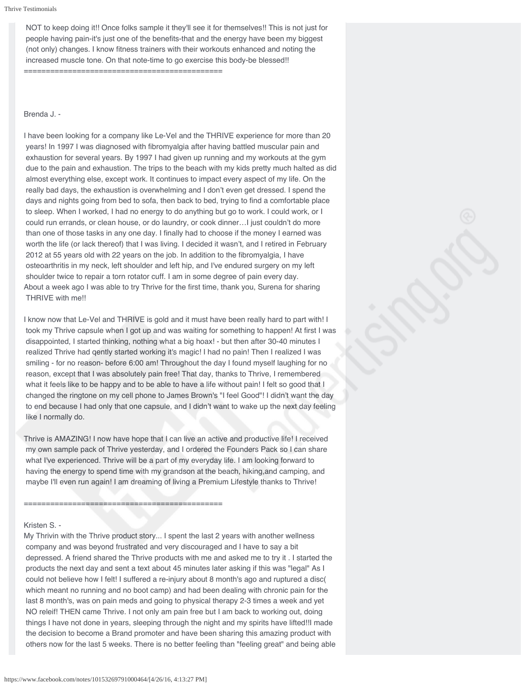NOT to keep doing it!! Once folks sample it they'll see it for themselves!! This is not just for people having pain-it's just one of the benefits-that and the energy have been my biggest (not only) changes. I know fitness trainers with their workouts enhanced and noting the increased muscle tone. On that note-time to go exercise this body-be blessed!! =============================================

## Brenda J. -

I have been looking for a company like Le-Vel and the THRIVE experience for more than 20 years! In 1997 I was diagnosed with fibromyalgia after having battled muscular pain and exhaustion for several years. By 1997 I had given up running and my workouts at the gym due to the pain and exhaustion. The trips to the beach with my kids pretty much halted as did almost everything else, except work. It continues to impact every aspect of my life. On the really bad days, the exhaustion is overwhelming and I don't even get dressed. I spend the days and nights going from bed to sofa, then back to bed, trying to find a comfortable place to sleep. When I worked, I had no energy to do anything but go to work. I could work, or I could run errands, or clean house, or do laundry, or cook dinner…I just couldn't do more than one of those tasks in any one day. I finally had to choose if the money I earned was worth the life (or lack thereof) that I was living. I decided it wasn't, and I retired in February 2012 at 55 years old with 22 years on the job. In addition to the fibromyalgia, I have osteoarthritis in my neck, left shoulder and left hip, and I've endured surgery on my left shoulder twice to repair a torn rotator cuff. I am in some degree of pain every day. About a week ago I was able to try Thrive for the first time, thank you, Surena for sharing THRIVE with me!!

I know now that Le-Vel and THRIVE is gold and it must have been really hard to part with! I took my Thrive capsule when I got up and was waiting for something to happen! At first I was disappointed, I started thinking, nothing what a big hoax! - but then after 30-40 minutes I realized Thrive had qently started working it's magic! I had no pain! Then I realized I was smiling - for no reason- before 6:00 am! Throughout the day I found myself laughing for no reason, except that I was absolutely pain free! That day, thanks to Thrive, I remembered what it feels like to be happy and to be able to have a life without pain! I felt so good that I changed the ringtone on my cell phone to James Brown's "I feel Good"! I didn't want the day to end because I had only that one capsule, and I didn't want to wake up the next day feeling like I normally do.

Thrive is AMAZING! I now have hope that I can live an active and productive life! I received my own sample pack of Thrive yesterday, and I ordered the Founders Pack so I can share what I've experienced. Thrive will be a part of my everyday life. I am looking forward to having the energy to spend time with my grandson at the beach, hiking,and camping, and maybe I'll even run again! I am dreaming of living a Premium Lifestyle thanks to Thrive!

### =============================================

#### Kristen S. -

My Thrivin with the Thrive product story... I spent the last 2 years with another wellness company and was beyond frustrated and very discouraged and I have to say a bit depressed. A friend shared the Thrive products with me and asked me to try it . I started the products the next day and sent a text about 45 minutes later asking if this was "legal" As I could not believe how I felt! I suffered a re-injury about 8 month's ago and ruptured a disc( which meant no running and no boot camp) and had been dealing with chronic pain for the last 8 month's, was on pain meds and going to physical therapy 2-3 times a week and yet NO releif! THEN came Thrive. I not only am pain free but I am back to working out, doing things I have not done in years, sleeping through the night and my spirits have lifted!!I made the decision to become a Brand promoter and have been sharing this amazing product with others now for the last 5 weeks. There is no better feeling than "feeling great" and being able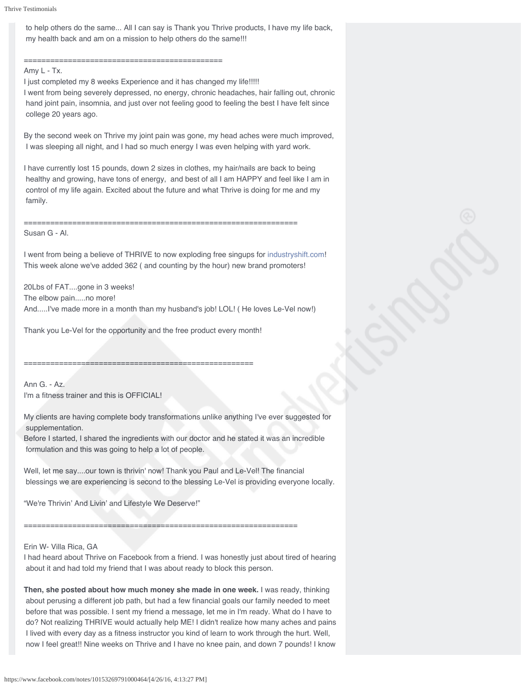to help others do the same... All I can say is Thank you Thrive products, I have my life back, my health back and am on a mission to help others do the same!!!

=============================================

# Amy L - Tx.

I just completed my 8 weeks Experience and it has changed my life!!!!! I went from being severely depressed, no energy, chronic headaches, hair falling out, chronic hand joint pain, insomnia, and just over not feeling good to feeling the best I have felt since college 20 years ago.

By the second week on Thrive my joint pain was gone, my head aches were much improved, I was sleeping all night, and I had so much energy I was even helping with yard work.

I have currently lost 15 pounds, down 2 sizes in clothes, my hair/nails are back to being healthy and growing, have tons of energy, and best of all I am HAPPY and feel like I am in control of my life again. Excited about the future and what Thrive is doing for me and my family.

==============================================================

Susan G - Al.

I went from being a believe of THRIVE to now exploding free singups for [industryshift.com!](http://l.facebook.com/l.php?u=http%3A%2F%2Findustryshift.com%2F&h=nAQE5oP6a&s=1) This week alone we've added 362 ( and counting by the hour) new brand promoters!

20Lbs of FAT....gone in 3 weeks! The elbow pain.....no more! And.....I've made more in a month than my husband's job! LOL! ( He loves Le-Vel now!)

Thank you Le-Vel for the opportunity and the free product every month!

====================================================

Ann G. - Az. I'm a fitness trainer and this is OFFICIAL!

My clients are having complete body transformations unlike anything I've ever suggested for supplementation.

Before I started, I shared the ingredients with our doctor and he stated it was an incredible formulation and this was going to help a lot of people.

Well, let me say....our town is thrivin' now! Thank you Paul and Le-Vel! The financial blessings we are experiencing is second to the blessing Le-Vel is providing everyone locally.

"We're Thrivin' And Livin' and Lifestyle We Deserve!"

==============================================================

## Erin W- Villa Rica, GA

I had heard about Thrive on Facebook from a friend. I was honestly just about tired of hearing about it and had told my friend that I was about ready to block this person.

**Then, she posted about how much money she made in one week.** I was ready, thinking about perusing a different job path, but had a few financial goals our family needed to meet before that was possible. I sent my friend a message, let me in I'm ready. What do I have to do? Not realizing THRIVE would actually help ME! I didn't realize how many aches and pains I lived with every day as a fitness instructor you kind of learn to work through the hurt. Well, now I feel great!! Nine weeks on Thrive and I have no knee pain, and down 7 pounds! I know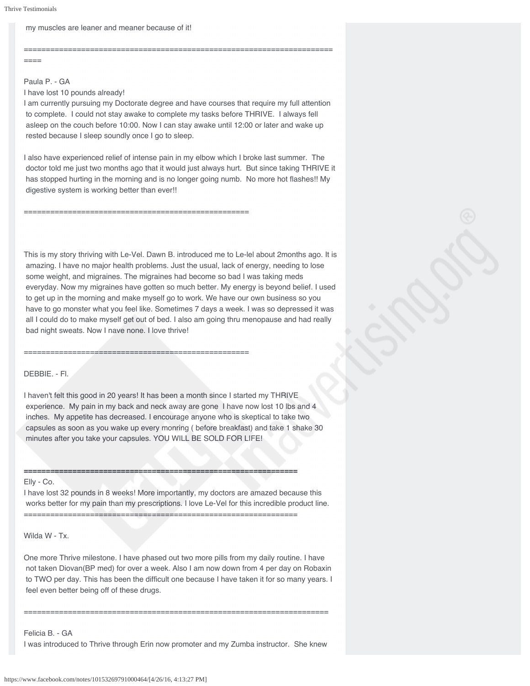## my muscles are leaner and meaner because of it!

======================================================================  $=$ 

Paula P. - GA

I have lost 10 pounds already!

I am currently pursuing my Doctorate degree and have courses that require my full attention to complete. I could not stay awake to complete my tasks before THRIVE. I always fell asleep on the couch before 10:00. Now I can stay awake until 12:00 or later and wake up rested because I sleep soundly once I go to sleep.

I also have experienced relief of intense pain in my elbow which I broke last summer. The doctor told me just two months ago that it would just always hurt. But since taking THRIVE it has stopped hurting in the morning and is no longer going numb. No more hot flashes!! My digestive system is working better than ever!!

This is my story thriving with Le-Vel. Dawn B. introduced me to Le-lel about 2months ago. It is amazing. I have no major health problems. Just the usual, lack of energy, needing to lose some weight, and migraines. The migraines had become so bad I was taking meds everyday. Now my migraines have gotten so much better. My energy is beyond belief. I used to get up in the morning and make myself go to work. We have our own business so you have to go monster what you feel like. Sometimes 7 days a week. I was so depressed it was all I could do to make myself get out of bed. I also am going thru menopause and had really bad night sweats. Now I nave none. I love thrive!

===================================================

===================================================

## DEBBIE. - Fl.

I haven't felt this good in 20 years! It has been a month since I started my THRIVE experience. My pain in my back and neck away are gone I have now lost 10 lbs and 4 inches. My appetite has decreased. I encourage anyone who is skeptical to take two capsules as soon as you wake up every monring ( before breakfast) and take 1 shake 30 minutes after you take your capsules. YOU WILL BE SOLD FOR LIFE!

**==============================================================**

==============================================================

#### Elly - Co.

I have lost 32 pounds in 8 weeks! More importantly, my doctors are amazed because this works better for my pain than my prescriptions. I love Le-Vel for this incredible product line.

Wilda W - Tx.

One more Thrive milestone. I have phased out two more pills from my daily routine. I have not taken Diovan(BP med) for over a week. Also I am now down from 4 per day on Robaxin to TWO per day. This has been the difficult one because I have taken it for so many years. I feel even better being off of these drugs.

Felicia B. - GA

I was introduced to Thrive through Erin now promoter and my Zumba instructor. She knew

=====================================================================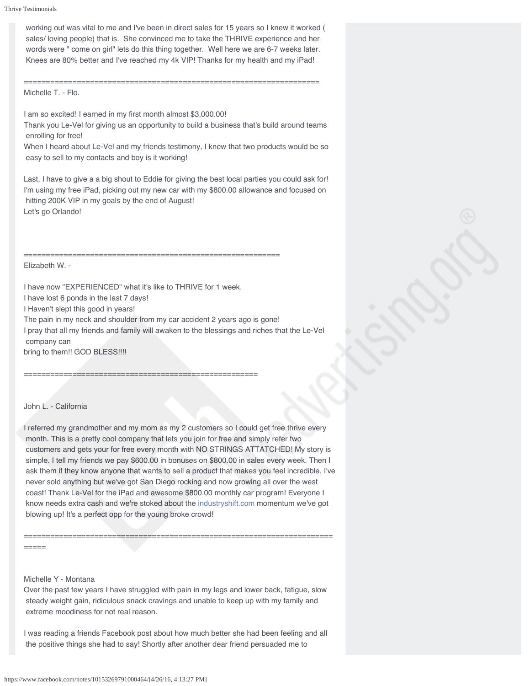working out was vital to me and I've been in direct sales for 15 years so I knew it worked ( sales/ loving people) that is. She convinced me to take the THRIVE experience and her words were " come on girl" lets do this thing together. Well here we are 6-7 weeks later. Knees are 80% better and I've reached my 4k VIP! Thanks for my health and my iPad!

=================================================================== Michelle T. - Flo.

I am so excited! I earned in my first month almost \$3,000.00!

Thank you Le-Vel for giving us an opportunity to build a business that's build around teams enrolling for free!

When I heard about Le-Vel and my friends testimony, I knew that two products would be so easy to sell to my contacts and boy is it working!

Last, I have to give a a big shout to Eddie for giving the best local parties you could ask for! I'm using my free iPad, picking out my new car with my \$800.00 allowance and focused on hitting 200K VIP in my goals by the end of August! Let's go Orlando!

Elizabeth W. -

I have now "EXPERIENCED" what it's like to THRIVE for 1 week.

I have lost 6 ponds in the last 7 days!

I Haven't slept this good in years!

The pain in my neck and shoulder from my car accident 2 years ago is gone!

==========================================================

I pray that all my friends and family will awaken to the blessings and riches that the Le-Vel company can

bring to them!! GOD BLESS!!!!

=====================================================

# John L. - California

I referred my grandmother and my mom as my 2 customers so I could get free thrive every month. This is a pretty cool company that lets you join for free and simply refer two customers and gets your for free every month with NO STRINGS ATTATCHED! My story is simple. I tell my friends we pay \$600.00 in bonuses on \$800.00 in sales every week. Then I ask them if they know anyone that wants to sell a product that makes you feel incredible. I've never sold anything but we've got San Diego rocking and now growing all over the west coast! Thank Le-Vel for the iPad and awesome \$800.00 monthly car program! Everyone I know needs extra cash and we're stoked about the [industryshift.com](http://l.facebook.com/l.php?u=http%3A%2F%2Findustryshift.com%2F&h=YAQEO2Fwg&s=1) momentum we've got blowing up! It's a perfect opp for the young broke crowd!

=====

## Michelle Y - Montana

Over the past few years I have struggled with pain in my legs and lower back, fatigue, slow steady weight gain, ridiculous snack cravings and unable to keep up with my family and extreme moodiness for not real reason.

======================================================================

I was reading a friends Facebook post about how much better she had been feeling and all the positive things she had to say! Shortly after another dear friend persuaded me to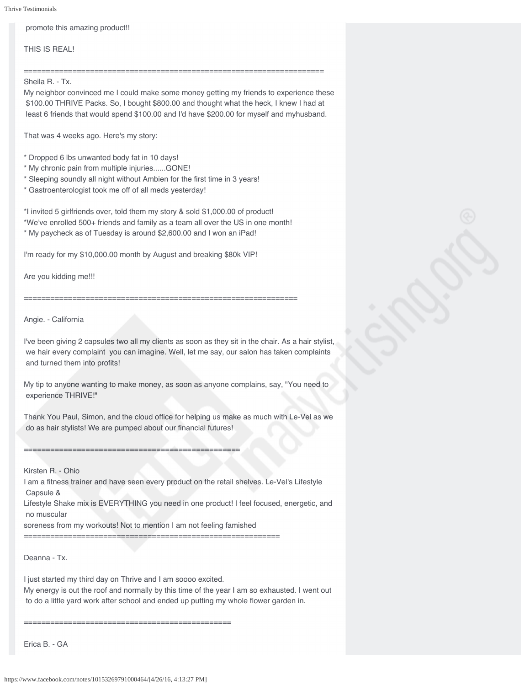promote this amazing product!!

THIS IS REAL!

====================================================================

Sheila R. - Tx.

My neighbor convinced me I could make some money getting my friends to experience these \$100.00 THRIVE Packs. So, I bought \$800.00 and thought what the heck, I knew I had at least 6 friends that would spend \$100.00 and I'd have \$200.00 for myself and myhusband.

That was 4 weeks ago. Here's my story:

\* Dropped 6 lbs unwanted body fat in 10 days!

- \* My chronic pain from multiple injuries......GONE!
- \* Sleeping soundly all night without Ambien for the first time in 3 years!
- \* Gastroenterologist took me off of all meds yesterday!

\*I invited 5 girlfriends over, told them my story & sold \$1,000.00 of product! \*We've enrolled 500+ friends and family as a team all over the US in one month!

==============================================================

\* My paycheck as of Tuesday is around \$2,600.00 and I won an iPad!

I'm ready for my \$10,000.00 month by August and breaking \$80k VIP!

Are you kidding me!!!

Angie. - California

I've been giving 2 capsules two all my clients as soon as they sit in the chair. As a hair stylist, we hair every complaint you can imagine. Well, let me say, our salon has taken complaints and turned them into profits!

My tip to anyone wanting to make money, as soon as anyone complains, say, "You need to experience THRIVE!"

Thank You Paul, Simon, and the cloud office for helping us make as much with Le-Vel as we do as hair stylists! We are pumped about our financial futures!

=================================================

## Kirsten R. - Ohio

I am a fitness trainer and have seen every product on the retail shelves. Le-Vel's Lifestyle Capsule &

Lifestyle Shake mix is EVERYTHING you need in one product! I feel focused, energetic, and no muscular

soreness from my workouts! Not to mention I am not feeling famished

==========================================================

Deanna - Tx.

I just started my third day on Thrive and I am soooo excited. My energy is out the roof and normally by this time of the year I am so exhausted. I went out to do a little yard work after school and ended up putting my whole flower garden in.

===============================================

Erica B. - GA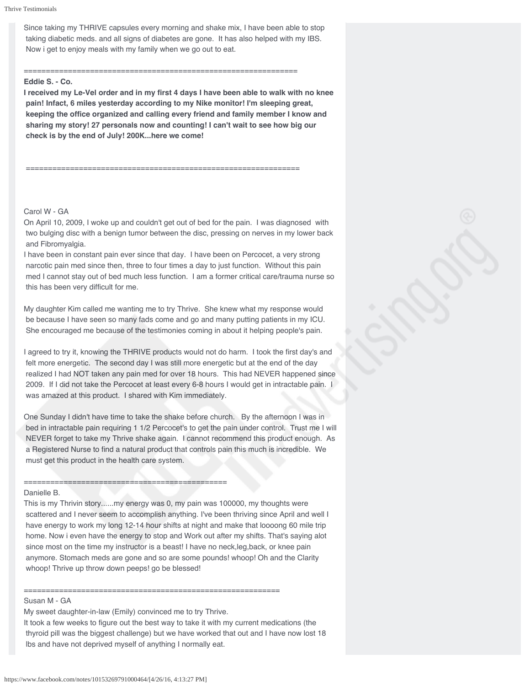Since taking my THRIVE capsules every morning and shake mix, I have been able to stop taking diabetic meds. and all signs of diabetes are gone. It has also helped with my IBS. Now i get to enjoy meals with my family when we go out to eat.

#### ==============================================================

# **Eddie S. - Co.**

**I received my Le-Vel order and in my first 4 days I have been able to walk with no knee pain! Infact, 6 miles yesterday according to my Nike monitor! I'm sleeping great, keeping the office organized and calling every friend and family member I know and sharing my story! 27 personals now and counting! I can't wait to see how big our check is by the end of July! 200K...here we come!**

==============================================================

# Carol W - GA

On April 10, 2009, I woke up and couldn't get out of bed for the pain. I was diagnosed with two bulging disc with a benign tumor between the disc, pressing on nerves in my lower back and Fibromyalgia.

I have been in constant pain ever since that day. I have been on Percocet, a very strong narcotic pain med since then, three to four times a day to just function. Without this pain med I cannot stay out of bed much less function. I am a former critical care/trauma nurse so this has been very difficult for me.

My daughter Kim called me wanting me to try Thrive. She knew what my response would be because I have seen so many fads come and go and many putting patients in my ICU. She encouraged me because of the testimonies coming in about it helping people's pain.

I agreed to try it, knowing the THRIVE products would not do harm. I took the first day's and felt more energetic. The second day I was still more energetic but at the end of the day realized I had NOT taken any pain med for over 18 hours. This had NEVER happened since 2009. If I did not take the Percocet at least every 6-8 hours I would get in intractable pain. I was amazed at this product. I shared with Kim immediately.

One Sunday I didn't have time to take the shake before church. By the afternoon I was in bed in intractable pain requiring 1 1/2 Percocet's to get the pain under control. Trust me I will NEVER forget to take my Thrive shake again. I cannot recommend this product enough. As a Registered Nurse to find a natural product that controls pain this much is incredible. We must get this product in the health care system.

#### Danielle B.

This is my Thrivin story......my energy was 0, my pain was 100000, my thoughts were scattered and I never seem to accomplish anything. I've been thriving since April and well I have energy to work my long 12-14 hour shifts at night and make that loooong 60 mile trip home. Now i even have the energy to stop and Work out after my shifts. That's saying alot since most on the time my instructor is a beast! I have no neck,leg,back, or knee pain anymore. Stomach meds are gone and so are some pounds! whoop! Oh and the Clarity whoop! Thrive up throw down peeps! go be blessed!

#### ========================================================== Susan M - GA

My sweet daughter-in-law (Emily) convinced me to try Thrive.

==============================================

It took a few weeks to figure out the best way to take it with my current medications (the thyroid pill was the biggest challenge) but we have worked that out and I have now lost 18 lbs and have not deprived myself of anything I normally eat.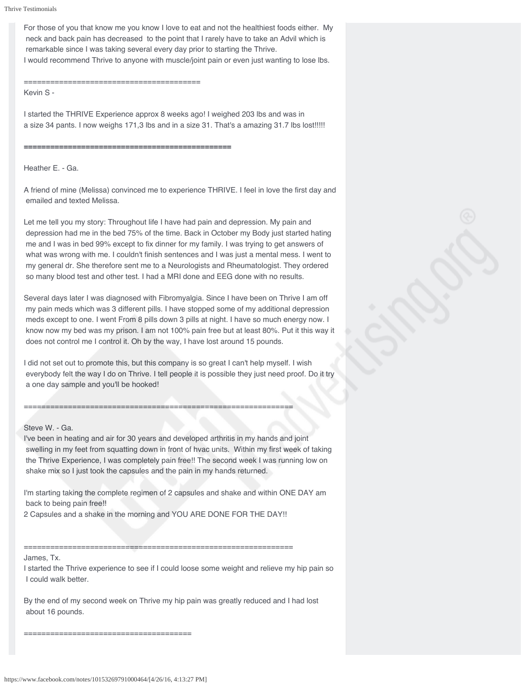```
Thrive Testimonials
```
For those of you that know me you know I love to eat and not the healthiest foods either. My neck and back pain has decreased to the point that I rarely have to take an Advil which is remarkable since I was taking several every day prior to starting the Thrive. I would recommend Thrive to anyone with muscle/joint pain or even just wanting to lose lbs.

## ========================================

Kevin S -

I started the THRIVE Experience approx 8 weeks ago! I weighed 203 lbs and was in a size 34 pants. I now weighs 171,3 lbs and in a size 31. That's a amazing 31.7 lbs lost!!!!!

**===============================================**

Heather E. - Ga.

A friend of mine (Melissa) convinced me to experience THRIVE. I feel in love the first day and emailed and texted Melissa.

Let me tell you my story: Throughout life I have had pain and depression. My pain and depression had me in the bed 75% of the time. Back in October my Body just started hating me and I was in bed 99% except to fix dinner for my family. I was trying to get answers of what was wrong with me. I couldn't finish sentences and I was just a mental mess. I went to my general dr. She therefore sent me to a Neurologists and Rheumatologist. They ordered so many blood test and other test. I had a MRI done and EEG done with no results.

Several days later I was diagnosed with Fibromyalgia. Since I have been on Thrive I am off my pain meds which was 3 different pills. I have stopped some of my additional depression meds except to one. I went From 8 pills down 3 pills at night. I have so much energy now. I know now my bed was my prison. I am not 100% pain free but at least 80%. Put it this way it does not control me I control it. Oh by the way, I have lost around 15 pounds.

I did not set out to promote this, but this company is so great I can't help myself. I wish everybody felt the way I do on Thrive. I tell people it is possible they just need proof. Do it try a one day sample and you'll be hooked!

# Steve W. - Ga.

I've been in heating and air for 30 years and developed arthritis in my hands and joint swelling in my feet from squatting down in front of hvac units. Within my first week of taking the Thrive Experience, I was completely pain free!! The second week I was running low on shake mix so I just took the capsules and the pain in my hands returned.

I'm starting taking the complete regimen of 2 capsules and shake and within ONE DAY am back to being pain free!!

2 Capsules and a shake in the morning and YOU ARE DONE FOR THE DAY!!

=============================================================

============================================================= James, Tx.

I started the Thrive experience to see if I could loose some weight and relieve my hip pain so I could walk better.

By the end of my second week on Thrive my hip pain was greatly reduced and I had lost about 16 pounds.

https://www.facebook.com/notes/10153269791000464/[4/26/16, 4:13:27 PM]

======================================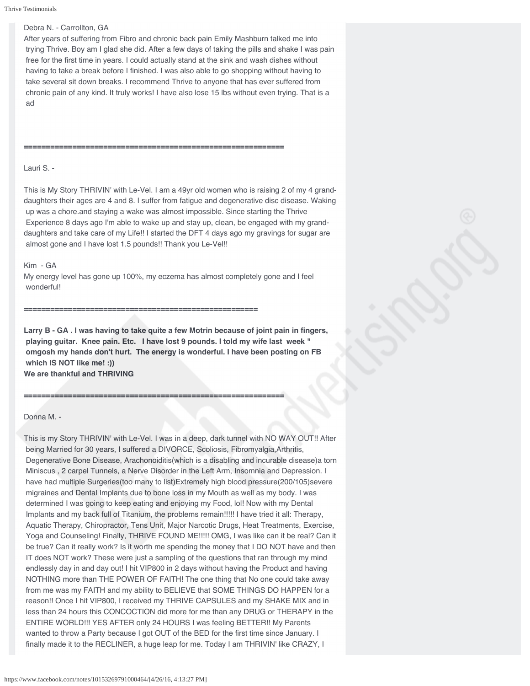# Debra N. - Carrollton, GA

After years of suffering from Fibro and chronic back pain Emily Mashburn talked me into trying Thrive. Boy am I glad she did. After a few days of taking the pills and shake I was pain free for the first time in years. I could actually stand at the sink and wash dishes without having to take a break before I finished. I was also able to go shopping without having to take several sit down breaks. I recommend Thrive to anyone that has ever suffered from chronic pain of any kind. It truly works! I have also lose 15 lbs without even trying. That is a ad

Lauri S. -

This is My Story THRIVIN' with Le-Vel. I am a 49yr old women who is raising 2 of my 4 granddaughters their ages are 4 and 8. I suffer from fatigue and degenerative disc disease. Waking up was a chore.and staying a wake was almost impossible. Since starting the Thrive Experience 8 days ago I'm able to wake up and stay up, clean, be engaged with my granddaughters and take care of my Life!! I started the DFT 4 days ago my gravings for sugar are almost gone and I have lost 1.5 pounds!! Thank you Le-Vel!!

**===========================================================**

### Kim - GA

My energy level has gone up 100%, my eczema has almost completely gone and I feel wonderful!

#### **=====================================================**

**===========================================================**

**Larry B - GA . I was having to take quite a few Motrin because of joint pain in fingers, playing guitar. Knee pain. Etc. I have lost 9 pounds. I told my wife last week " omgosh my hands don't hurt. The energy is wonderful. I have been posting on FB which IS NOT like me! :)) We are thankful and THRIVING**

#### Donna M. -

This is my Story THRIVIN' with Le-Vel. I was in a deep, dark tunnel with NO WAY OUT!! After being Married for 30 years, I suffered a DIVORCE, Scoliosis, Fibromyalgia,Arthritis, Degenerative Bone Disease, Arachonoiditis(which is a disabling and incurable disease)a torn Miniscus , 2 carpel Tunnels, a Nerve Disorder in the Left Arm, Insomnia and Depression. I have had multiple Surgeries(too many to list)Extremely high blood pressure(200/105)severe migraines and Dental Implants due to bone loss in my Mouth as well as my body. I was determined I was going to keep eating and enjoying my Food, lol! Now with my Dental Implants and my back full of Titanium, the problems remain!!!!! I have tried it all: Therapy, Aquatic Therapy, Chiropractor, Tens Unit, Major Narcotic Drugs, Heat Treatments, Exercise, Yoga and Counseling! Finally, THRIVE FOUND ME!!!!! OMG, I was like can it be real? Can it be true? Can it really work? Is it worth me spending the money that I DO NOT have and then IT does NOT work? These were just a sampling of the questions that ran through my mind endlessly day in and day out! I hit VIP800 in 2 days without having the Product and having NOTHING more than THE POWER OF FAITH! The one thing that No one could take away from me was my FAITH and my ability to BELIEVE that SOME THINGS DO HAPPEN for a reason!! Once I hit VIP800, I received my THRIVE CAPSULES and my SHAKE MIX and in less than 24 hours this CONCOCTION did more for me than any DRUG or THERAPY in the ENTIRE WORLD!!! YES AFTER only 24 HOURS I was feeling BETTER!! My Parents wanted to throw a Party because I got OUT of the BED for the first time since January. I finally made it to the RECLINER, a huge leap for me. Today I am THRIVIN' like CRAZY, I